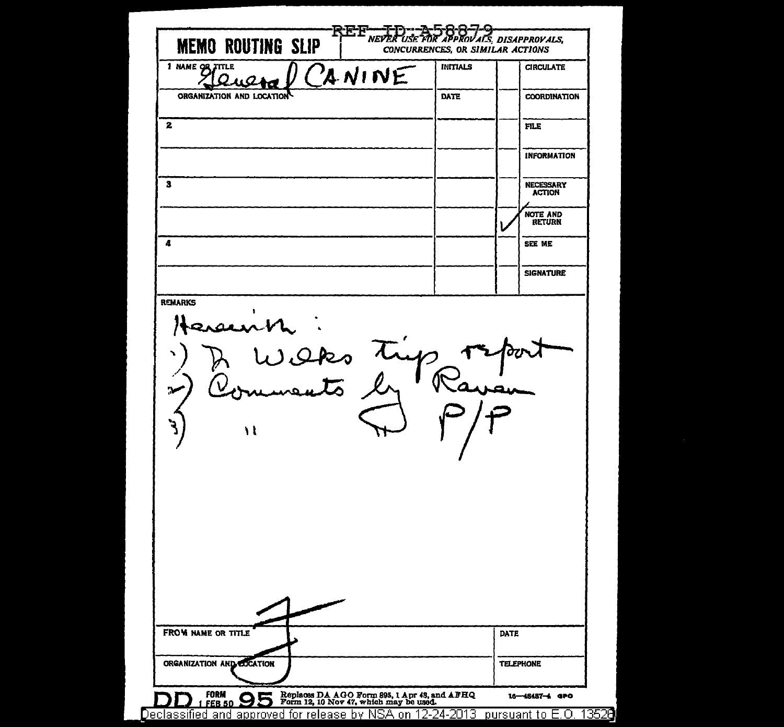| <b>MEMO ROUTING SLIP</b>  | FOR APPROVALS DISAPPROVALS,<br>NEVER<br>CONCURRENCES, OR SIMILAR ACTIONS |                                   |
|---------------------------|--------------------------------------------------------------------------|-----------------------------------|
| 1 NAME OF TITLE           | <b>INITIALS</b><br>CANINE                                                | <b>CIRCULATE</b>                  |
| ORGANIZATION AND LOCATION | DATE                                                                     | <b>COORDINATION</b>               |
|                           |                                                                          | <b>FILE</b>                       |
|                           |                                                                          | <b>INFORMATION</b>                |
| $\mathbf{3}$              |                                                                          | <b>NECESSARY</b><br><b>ACTION</b> |
|                           |                                                                          | <b>NOTE AND</b><br><b>RETURN</b>  |
| 4                         |                                                                          | SEE ME                            |
|                           |                                                                          | <b>SIGNATURE</b>                  |
| سمصد                      | caps trup                                                                |                                   |
| ١l                        |                                                                          |                                   |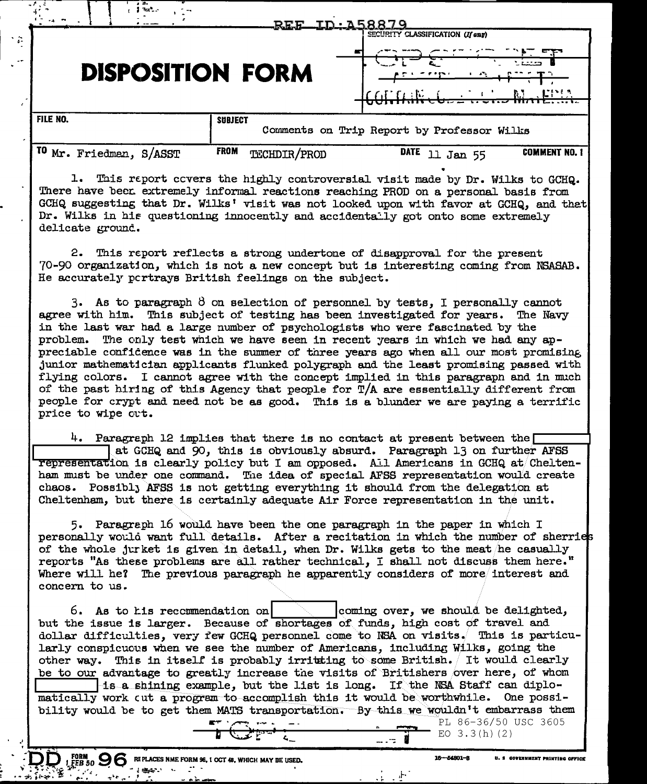|                                  | <u>REE</u>                  | SECURITY CLASSIFICATION (If any)           |
|----------------------------------|-----------------------------|--------------------------------------------|
|                                  | <b>DISPOSITION FORM</b>     | - 1<br><b>ALIMA</b>                        |
| FILE NO.                         | <b>SUBJECT</b>              | Comments on Trip Report by Professor Wilks |
| TO<br>Mr.<br>S/ASST<br>Friedman, | <b>FROM</b><br>TECHDIR/PROD | DATE<br><b>COMMENT NO. 1</b><br>55<br>Jan  |

1. This report covers the highly controversial visit made by Dr. Wilks to GCHQ. There have been extremely informal reactions reaching PROD on a personal basis from GCHQ suggesting that Dr. Wilks' visit was not looked upon with favor at GCHQ, and that Dr. Wilks in his questioning innocently and accidentally got onto some extremely delicate ground.

2. This report reflects a strong undertone of disapproval for the present 70-90 organization, which is not a new concept but is interesting coming from NSASAB. He accurately portrays British feelings on the subject.

3. As to paragraph  $\beta$  on selection of personnel by tests, I personally cannot agree with him. This subject of testing has been investigated for years. The Navy in the last war had a large number of psychologists who were fascinated by the problem. The only test which we have seen in recent years in which we had any appreciable confidence was in the summer of three years ago when all our most promising junior mathematician applicants flunked polygraph and the least promising passed with flying colors. I cannot agree with the concept implied in this paragraph and in much of the past hiring of this Agency that people for  $T/A$  are essentially different from people for crypt and need not be as good. This is a blunder we are paying a terrific price to wipe cut.

4. Paragreph 12 implies that there is no contact at present between the  $\Box$ at GCHQ and 90, this is obviously absurd. Paragraph 13 on further AFSS representation is clearly policy but I am opposed. All Americans in GCHQ at Cheltenham must be under one command. The idea of special AFSS representation would create chaos. Possibly AFSS is not getting everything it should from the delegation at Cheltenham, but there is certainly adequate Air Force representation in the unit.

5. Paragreph 16 would have been the one paragraph in the paper in which I personally would want full details. After a recitation in which the number of sherries of the whole jurket is given in detail, when Dr. Wilks gets to the meat he casually reports "As these problems are all rather technical, I shall not discuss them here." Where will he? The previous paragraph he apparently considers of more interest and concern to us.

coming over, we should be delighted, 6. As to his recommendation on but the issue is larger. Because of shortages of funds, high cost of travel and dollar difficulties, very few GCHQ personnel come to NSA on visits. This is particularly conspicuous when we see the number of Americans, including Wilks, going the other way. This in itself is probably irritating to some British. It would clearly be to our advantage to greatly increase the visits of Britishers over here, of whom is a shining example, but the list is long. If the NSA Staff can diplomatically work cut a program to accomplish this it would be worthwhile. One possibility would be to get them MATS transportation. By this we wouldn't embarrass them PL 86-36/50 USC 3605

FORM 0 0 6 REPLACES NME FORM 96, 1 OCT 48, WHICH MAY BE USED.

**SELECTION** 

**FORM** 

.<br>S Covernment Printing Office

 $16 - 54801 - 3$